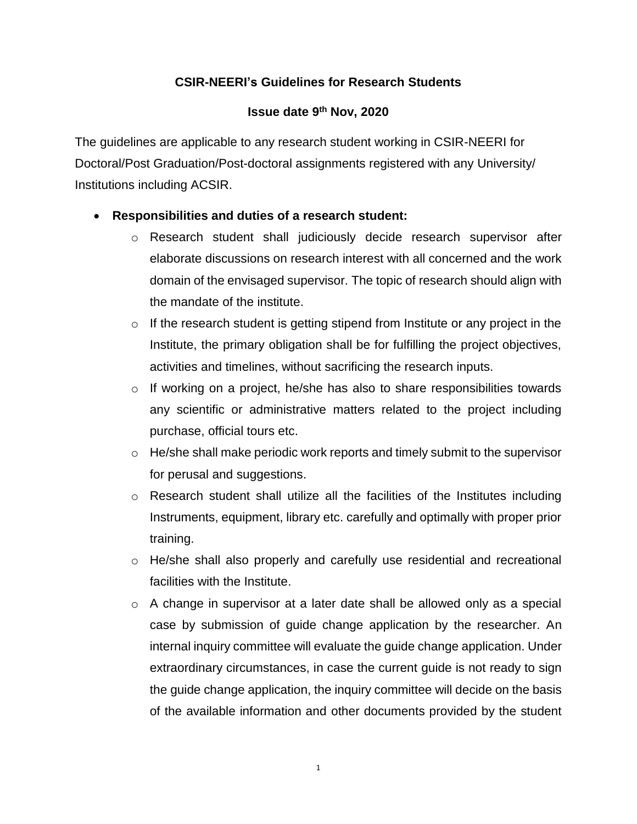# **CSIR-NEERI's Guidelines for Research Students**

### **Issue date 9th Nov, 2020**

The guidelines are applicable to any research student working in CSIR-NEERI for Doctoral/Post Graduation/Post-doctoral assignments registered with any University/ Institutions including ACSIR.

## **Responsibilities and duties of a research student:**

- o Research student shall judiciously decide research supervisor after elaborate discussions on research interest with all concerned and the work domain of the envisaged supervisor. The topic of research should align with the mandate of the institute.
- $\circ$  If the research student is getting stipend from Institute or any project in the Institute, the primary obligation shall be for fulfilling the project objectives, activities and timelines, without sacrificing the research inputs.
- o If working on a project, he/she has also to share responsibilities towards any scientific or administrative matters related to the project including purchase, official tours etc.
- $\circ$  He/she shall make periodic work reports and timely submit to the supervisor for perusal and suggestions.
- $\circ$  Research student shall utilize all the facilities of the Institutes including Instruments, equipment, library etc. carefully and optimally with proper prior training.
- o He/she shall also properly and carefully use residential and recreational facilities with the Institute.
- $\circ$  A change in supervisor at a later date shall be allowed only as a special case by submission of guide change application by the researcher. An internal inquiry committee will evaluate the guide change application. Under extraordinary circumstances, in case the current guide is not ready to sign the guide change application, the inquiry committee will decide on the basis of the available information and other documents provided by the student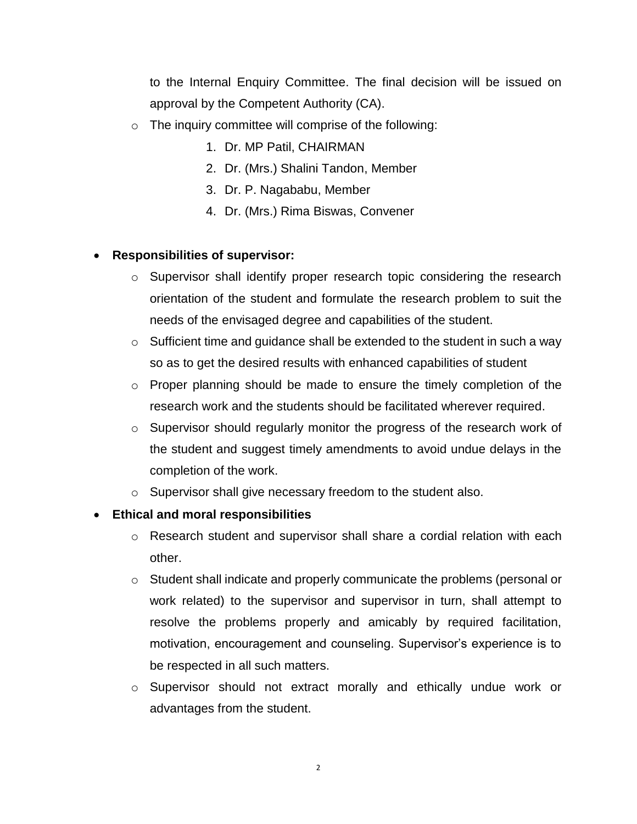to the Internal Enquiry Committee. The final decision will be issued on approval by the Competent Authority (CA).

- $\circ$  The inquiry committee will comprise of the following:
	- 1. Dr. MP Patil, CHAIRMAN
	- 2. Dr. (Mrs.) Shalini Tandon, Member
	- 3. Dr. P. Nagababu, Member
	- 4. Dr. (Mrs.) Rima Biswas, Convener

#### **Responsibilities of supervisor:**

- o Supervisor shall identify proper research topic considering the research orientation of the student and formulate the research problem to suit the needs of the envisaged degree and capabilities of the student.
- $\circ$  Sufficient time and guidance shall be extended to the student in such a way so as to get the desired results with enhanced capabilities of student
- o Proper planning should be made to ensure the timely completion of the research work and the students should be facilitated wherever required.
- $\circ$  Supervisor should regularly monitor the progress of the research work of the student and suggest timely amendments to avoid undue delays in the completion of the work.
- o Supervisor shall give necessary freedom to the student also.

#### **Ethical and moral responsibilities**

- o Research student and supervisor shall share a cordial relation with each other.
- o Student shall indicate and properly communicate the problems (personal or work related) to the supervisor and supervisor in turn, shall attempt to resolve the problems properly and amicably by required facilitation, motivation, encouragement and counseling. Supervisor's experience is to be respected in all such matters.
- o Supervisor should not extract morally and ethically undue work or advantages from the student.